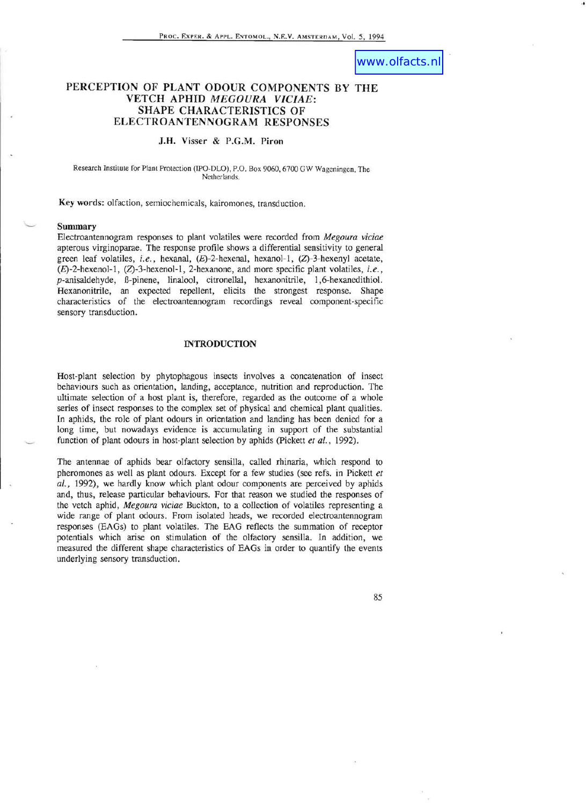# www.olfacts.nl

.,

## **PERCEPTION OF PLANT ODOUR COMPONENTS BY THE VETCH APHID** *MEGOURA VICIAE:* **SHAPE CHARACTERISTICS OF ELECTROANTENNOGRAM RESPONSES**

## J.H. Visser & P.G.M. **Piron**

Research Institute for Plant Protection (IPO-DLO), P.O. Box 9060, 6700 GW Wagcningen, The Netherlands.

Key words: olfaction, semiochemicals, kairomones, transduction.

### **Summary**

Electroantennogram responses to plant volatiles were recorded from *Megoura viciae*  apterous virginoparae. The response profile shows a differential sensitivity to general green leaf volatiles, *i.e.,* hexanal, (E)-2-hexenal, hexanol-l, (Z)-3-hexenyl acetate, (E)-2-hexenol-l, (Z)-3-hexenol-l, 2-hexanone, and more specific plant volatiles, i. *e. ,*  p-anisaldehyde, E-pinene, Iinalool, citronellal, hexanonitrile, 1,6-hexanedithiol. Hexanonitrile, an expected repellent, elicits the strongest response, Shape characteristics of the electroantennogram recordings reveal component-specific sensory transduction.

#### **INTRODUCTION**

Host-plant selection by phytophagous insects involves a concatenation of insect behaviours such as orientation, landing, acceptance, nutrition and reproduction. The ultimate selection of a host plant is, therefore, regarded as the outcome of a whole series of insect responses to the complex set of physical and chemical plant qualities. In aphids, the role of plant odours in orientation and landing has been denied for a long time, but nowadays evidence is accumulating in support of the substantial function of plant odours in host-plant selection by aphids (pickett *et aI.,* 1992).

The antennae of aphids bear olfactory sensilla, called rhinaria, which respond to pheromones as well as plant odours. Except for a few studies (see refs. in Pickett *et aI.,* 1992), we hardly know which plant odour components are perceived by aphids and, thus, release particular behaviours. For that reason we studied the responses of the vetch aphid, *Megoura viciae* Buckton, to a collection of volatiles representing a wide range of plant odours. From isolated heads, we recorded electroantennogram responses (EAGs) to plant volatiles. The EAG reflects the summation of receptor potentials which arise on stimulation of the olfactory sensilla. In addition, we measured the different shape characteristics of EAGs in order to quantify the events underlying sensory transduction.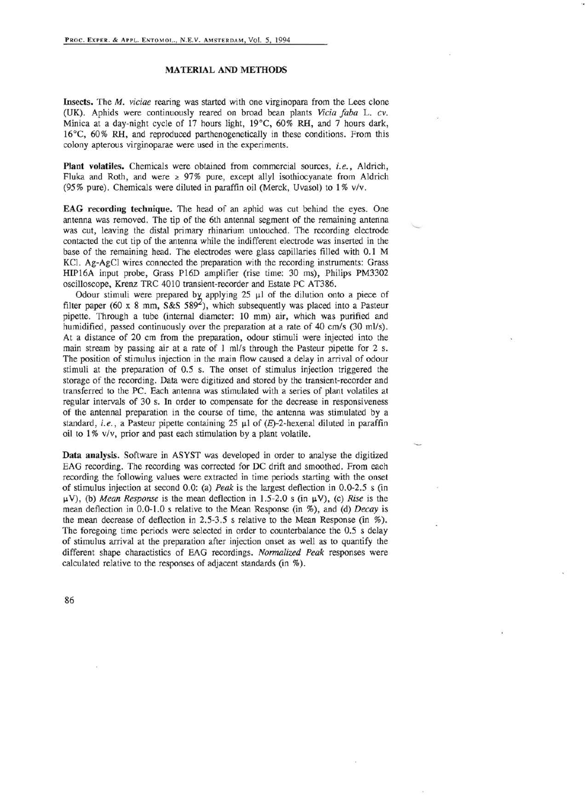## MATERIAL AND METHODS

Insects. The *M. viciae* rearing was started with one virginopara from the Lees clone (UK). Aphids were continuously reared on broad bean plants *Vicia Jaba* L. *cv.*  Minica at a day-night cycle of 17 hours light, 19°C, 60% RH, and 7 hours dark, 16°C, 60% RH, and reproduced parthenogenetically in these conditions. From this colony apterous virginoparae were used in the experiments.

Plant volatiles. Chemicals were obtained from commercial sources, *i.e.,* Aldrich, Fluka and Roth, and were  $\geq 97\%$  pure, except allyl isothiocyanate from Aldrich (95% pure). Chemicals were diluted in paraffin oil (Merck, Uvasol) to 1 % *v/v.* 

EAG recording technique. The head of an aphid was cut behind the eyes. One antenna was removed. The tip of the 6th antennal segment of the remaining antenna was cut, leaving the distal primary rhinarium untouched. The recording electrode contacted the cut tip of the antenna while the indifferent electrode was inserted in the base of the remaining head. The electrodes were glass capillaries filled with 0.1 M KCl. Ag-AgCl wires connected the preparation with the recording instruments: Grass HIP16A input probe, Grass P16D amplifier (rise time: 30 ms), Philips PM3302 oscilloscope, Krenz TRC 4010 transient-recorder and Estate PC AT386.

Odour stimuli were prepared by applying  $25 \mu l$  of the dilution onto a piece of filter paper (60 x 8 mm, S&S 589<sup>2</sup>), which subsequently was placed into a Pasteur pipette. Through a tube (internal diameter: 10 mm) air, which was purified and humidified, passed continuously over the preparation at a rate of 40 cm/s (30 ml/s). At a distance of 20 cm from the preparation, odour stimuli were injected into the main stream by passing air at a rate of 1 ml/s through the Pasteur pipette for 2 s. The position of stimulus injection in the main flow caused a delay in arrival of odour stimuli at the preparation of 0.5 s. The onset of stimulus injection triggered the storage of the recording. Data were digitized and stored by the transient-recorder and transferred to the PC. Each antenna was stimulated with a series of plant volatiles at regular intervals of 30 s. In order to compensate for the decrease in responsiveness of the antennal preparation in the course of time, the antenna was stimulated by a standard, *i.e.*, a Pasteur pipette containing 25  $\mu$ l of (E)-2-hexenal diluted in paraffin oil to 1 % *vlv,* prior and past each stimulation by a plant volatile.

Data analysis. Software in ASYST was developed in order to analyse the digitized EAG recording. The recording was corrected for DC drift and smoothed. From each recording the following values were extracted in time periods starting with the onset of stimulus injection at second 0.0: (a) *Peak* is the largest deflection in 0.0-2.5 s (in  $\mu$ V), (b) *Mean Response* is the mean deflection in 1.5-2.0 s (in  $\mu$ V), (c) *Rise* is the mean deflection in 0.0-1.0 s relative to the Mean Response (in %), and (d) *Decay* is the mean decrease of deflection in 2.5-3.5 s relative to the Mean Response (in %) . The foregoing time periods were selected in order to counterbalance the 0.5 s delay of stimulus arrival at the preparation after injection onset as well as to quantify the different shape charactistics of EAG recordings. *Normalized Peak* responses were calculated relative to the responses of adjacent standards (in %).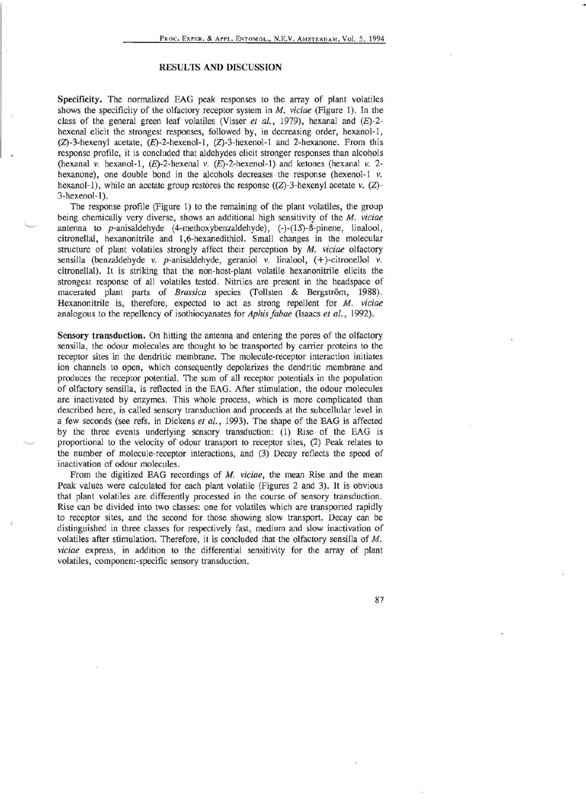## RESULTS AND DISCUSSION

Specificity. The normalized EAG peak responses to the array of plant volatiles shows the specificity of the olfactory receptor system in *M. viciae* (Figure I). In the class of the general green leaf volatiles (Visser *et al.*, 1979), hexanal and (E)-2hexenal elicit the strongest responses, followed by, in decreasing order, hexanol-I,  $(Z)$ -3-hexenyl acetate,  $(E)$ -2-hexenol-1,  $(Z)$ -3-hexenol-1 and 2-hexanone. From this response profile, it is concluded that aldehydes elicit stronger responses than alcohols (hexanal *v.* hexanol-l, (£)-2-hexenal *v.* (£)-2-hexenol-l) and ketones (hexanal *v.* 2 hexanone), one double bond in the alcohols decreases the response (hexenol-I *v.*  hexanol-1), while an acetate group restores the response  $((Z)$ -3-hexenyl acetate  $v$ .  $(Z)$ -3-hexenol-l).

The response profile (Figure I) to the remaining of the plant volatiles, the group being chemically very diverse, shows an additional high sensitivity of the M. *viciae*  antenna to p-anisaldehyde (4-methoxybenzaldehyde),  $(-)$ - $(1S)$ - $\beta$ -pinene, linalool, citronellal, hexanonitrile and 1,6-hexanedithiol. Small changes in the molecular structure of plant volatiles strongly affect their perception by M. *viciae* olfactory sensilla (benzaldehyde v. p-anisaldehyde, geraniol v. linalool, (+)-citronellol v. citronellal). It is striking that the non-host-plant volatile hexanonitrile elicits the strongest response of all volatiles tested. Nitriles are present in the headspace of macerated plant parts of *Brassica* species (Tollsten & Bergström, 1988). Hexanonitrile is, therefore, expected to act as strong repellent for M. *viciae*  analogous to the repellency of isothiocyanates for *Aphis Jabae* (Isaacs *et at., 1992).* 

Sensory transduction. On hitting the antenna and entering the pores of the olfactory sensilla, the odour molecules are thought to be transported by carrier proteins to the receptor sites in the dendritic membrane. The molecule-receptor interaction initiates ion channels to open, which consequently depolarizes the dendritic membrane and produces the receptor potential. The sum of all receptor potentials in the population of olfactory sensilla, is reflected in the EAG. After stimulation, the odour molecules are inactivated by enzymes. This whole process, which is more complicated than described here, is called sensory transduction and proceeds at the subcellular level in a few seconds (see refs. in Dickens *et at.,* 1993). The shape of the EAG is affected by the three events underlying sensory transduction: (1) Rise of the EAG is proportional to the velocity of odour transport to receptor sites, (2) Peak relates to the number of molecule-receptor interactions, and (3) Decay reflects the speed of inactivation of odour molecules.

From the digitized EAG recordings of *M. viciae,* the mean Rise and the mean Peak values were calculated for each plant volatile (Figures 2 and 3). It is obvious that plant volatiles are differently processed in the course of sensory transduction. Rise can be divided into two classes: one for volatiles which are transported rapidly to receptor sites, and the second for those showing slow transport. Decay can be distinguished in three classes for respectively fast, medium and slow inactivation of volatiles after stimulation. Therefore, it is concluded that the olfactory sensilla of M. *viciae* express, in addition to the differential sensitivity for the array of plant volatiles, component-specific sensory transduction.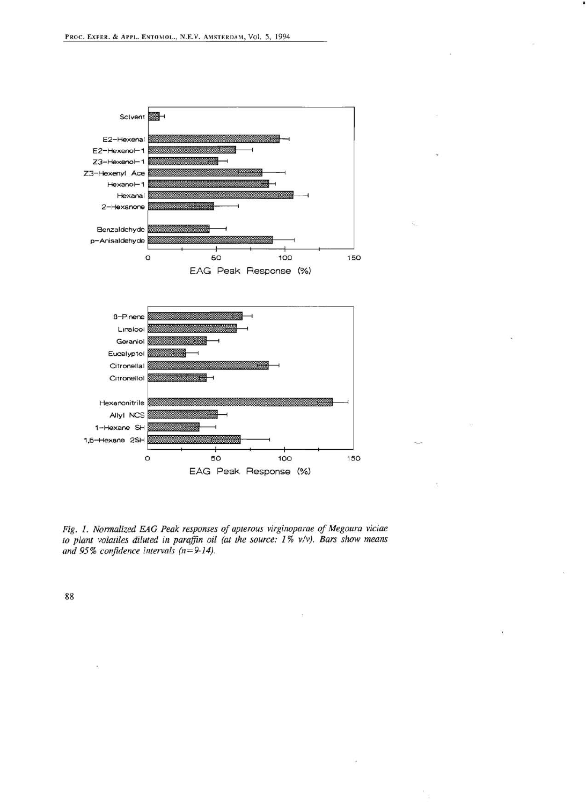

*Fig.* 1. *Normalized EAG Peak responses of apterous virginoparae of Megoura viciae to plant volatiles diluted in paraffin oil (at the source:* 1% *v/v). Bars show means and* 95% *confidence intervals (n=9-14).*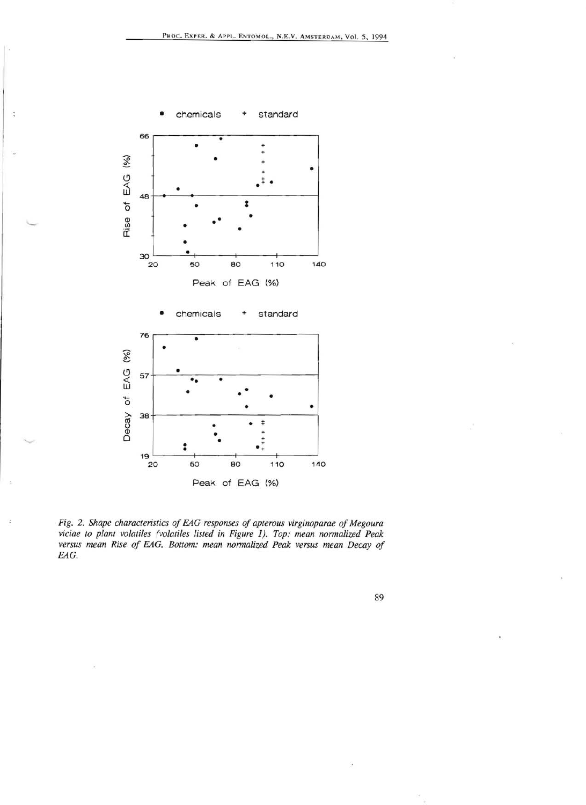

J.

Peak of EAG (%)

Fig. 2. Shape characteristics of EAG responses of apterous virginoparae of Megoura viciae to plant volatiles (volatiles listed in Figure 1). Top: mean normalized Peak versus mean Rise of EAG. Bottom: mean normalized Peak versus mean Decay of EAG.